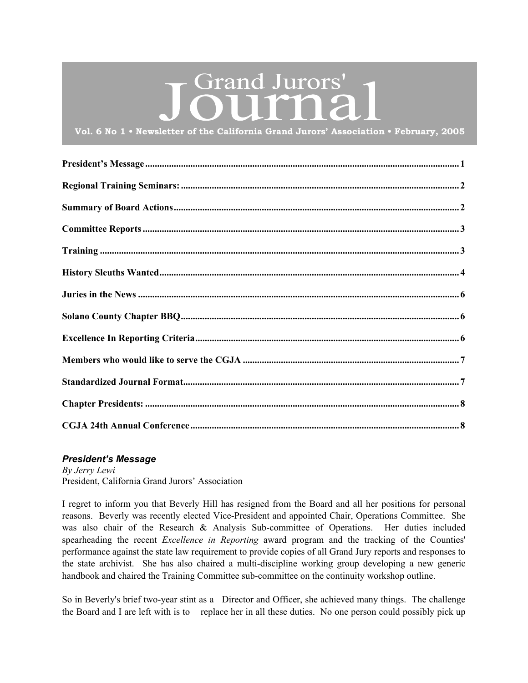# Grand Jurors'

<span id="page-0-0"></span>**Vol. 6 No 1 • Newsletter of the California Grand Jurors' Association • February, 2005**

# *President's Message*

*By Jerry Lewi* President, California Grand Jurors' Association

I regret to inform you that Beverly Hill has resigned from the Board and all her positions for personal reasons. Beverly was recently elected Vice-President and appointed Chair, Operations Committee. She was also chair of the Research & Analysis Sub-committee of Operations. Her duties included spearheading the recent *Excellence in Reporting* award program and the tracking of the Counties' performance against the state law requirement to provide copies of all Grand Jury reports and responses to the state archivist. She has also chaired a multi-discipline working group developing a new generic handbook and chaired the Training Committee sub-committee on the continuity workshop outline.

So in Beverly's brief two-year stint as a Director and Officer, she achieved many things. The challenge the Board and I are left with is to replace her in all these duties. No one person could possibly pick up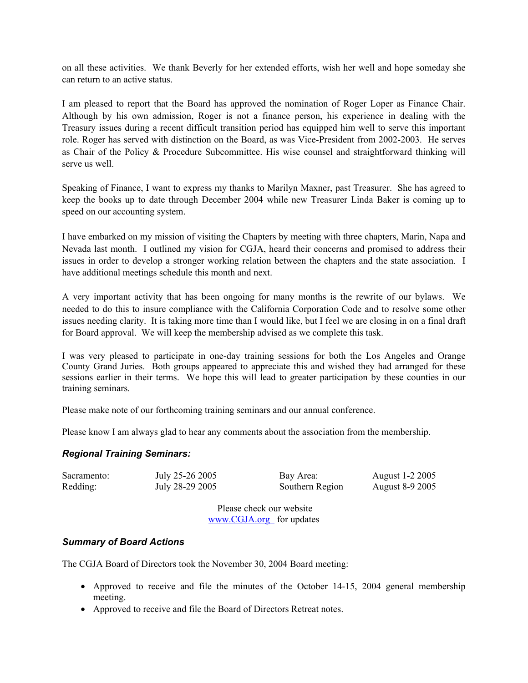<span id="page-1-0"></span>on all these activities. We thank Beverly for her extended efforts, wish her well and hope someday she can return to an active status.

I am pleased to report that the Board has approved the nomination of Roger Loper as Finance Chair. Although by his own admission, Roger is not a finance person, his experience in dealing with the Treasury issues during a recent difficult transition period has equipped him well to serve this important role. Roger has served with distinction on the Board, as was Vice-President from 2002-2003. He serves as Chair of the Policy & Procedure Subcommittee. His wise counsel and straightforward thinking will serve us well.

Speaking of Finance, I want to express my thanks to Marilyn Maxner, past Treasurer. She has agreed to keep the books up to date through December 2004 while new Treasurer Linda Baker is coming up to speed on our accounting system.

I have embarked on my mission of visiting the Chapters by meeting with three chapters, Marin, Napa and Nevada last month. I outlined my vision for CGJA, heard their concerns and promised to address their issues in order to develop a stronger working relation between the chapters and the state association. I have additional meetings schedule this month and next.

A very important activity that has been ongoing for many months is the rewrite of our bylaws. We needed to do this to insure compliance with the California Corporation Code and to resolve some other issues needing clarity. It is taking more time than I would like, but I feel we are closing in on a final draft for Board approval. We will keep the membership advised as we complete this task.

I was very pleased to participate in one-day training sessions for both the Los Angeles and Orange County Grand Juries. Both groups appeared to appreciate this and wished they had arranged for these sessions earlier in their terms. We hope this will lead to greater participation by these counties in our training seminars.

Please make note of our forthcoming training seminars and our annual conference.

Please know I am always glad to hear any comments about the association from the membership.

# *Regional Training Seminars:*

| Sacramento: | July 2.  |
|-------------|----------|
| Redding:    | July $2$ |

5-26 2005 8-29 2005

Southern Region August 8-9 2005

Bay Area: August 1-2 2005

 Please check our website [www.CGJA.org](www.CGJA.org   ) for updates

# *Summary of Board Actions*

The CGJA Board of Directors took the November 30, 2004 Board meeting:

- Approved to receive and file the minutes of the October 14-15, 2004 general membership meeting.
- Approved to receive and file the Board of Directors Retreat notes.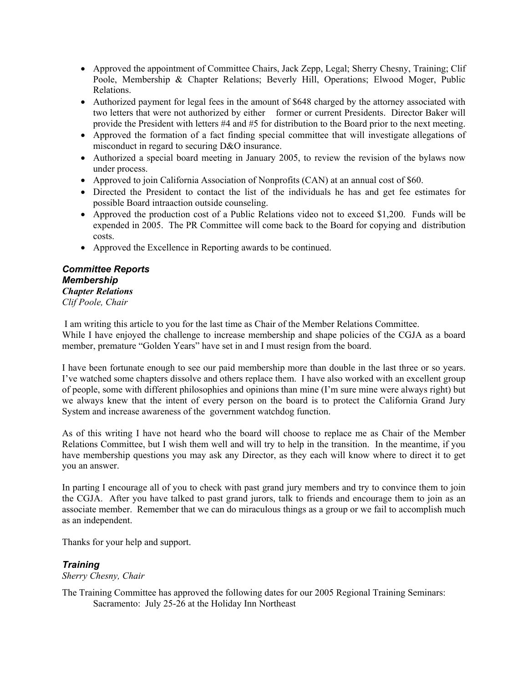- <span id="page-2-0"></span>• Approved the appointment of Committee Chairs, Jack Zepp, Legal; Sherry Chesny, Training; Clif Poole, Membership & Chapter Relations; Beverly Hill, Operations; Elwood Moger, Public Relations.
- Authorized payment for legal fees in the amount of \$648 charged by the attorney associated with two letters that were not authorized by either former or current Presidents. Director Baker will provide the President with letters #4 and #5 for distribution to the Board prior to the next meeting.
- Approved the formation of a fact finding special committee that will investigate allegations of misconduct in regard to securing D&O insurance.
- Authorized a special board meeting in January 2005, to review the revision of the bylaws now under process.
- Approved to join California Association of Nonprofits (CAN) at an annual cost of \$60.
- Directed the President to contact the list of the individuals he has and get fee estimates for possible Board intraaction outside counseling.
- Approved the production cost of a Public Relations video not to exceed \$1,200. Funds will be expended in 2005. The PR Committee will come back to the Board for copying and distribution costs.
- Approved the Excellence in Reporting awards to be continued.

#### *Committee Reports Membership Chapter Relations Clif Poole, Chair*

 I am writing this article to you for the last time as Chair of the Member Relations Committee. While I have enjoyed the challenge to increase membership and shape policies of the CGJA as a board member, premature "Golden Years" have set in and I must resign from the board.

I have been fortunate enough to see our paid membership more than double in the last three or so years. I've watched some chapters dissolve and others replace them. I have also worked with an excellent group of people, some with different philosophies and opinions than mine (I'm sure mine were always right) but we always knew that the intent of every person on the board is to protect the California Grand Jury System and increase awareness of the government watchdog function.

As of this writing I have not heard who the board will choose to replace me as Chair of the Member Relations Committee, but I wish them well and will try to help in the transition. In the meantime, if you have membership questions you may ask any Director, as they each will know where to direct it to get you an answer.

In parting I encourage all of you to check with past grand jury members and try to convince them to join the CGJA. After you have talked to past grand jurors, talk to friends and encourage them to join as an associate member. Remember that we can do miraculous things as a group or we fail to accomplish much as an independent.

Thanks for your help and support.

# *Training*

*Sherry Chesny, Chair* 

The Training Committee has approved the following dates for our 2005 Regional Training Seminars: Sacramento: July 25-26 at the Holiday Inn Northeast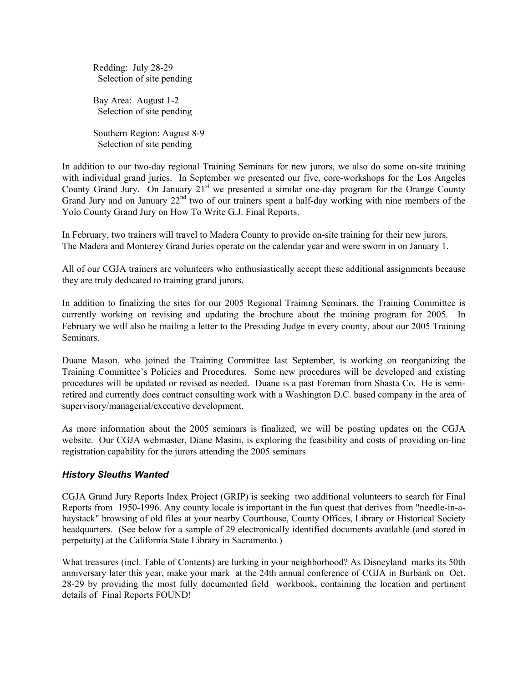<span id="page-3-0"></span>Redding: July 28-29 Selection of site pending

Bay Area: August 1-2 Selection of site pending

Southern Region: August 8-9 Selection of site pending

In addition to our two-day regional Training Seminars for new jurors, we also do some on-site training with individual grand juries. In September we presented our five, core-workshops for the Los Angeles County Grand Jury. On January  $21<sup>st</sup>$  we presented a similar one-day program for the Orange County Grand Jury and on January  $22<sup>nd</sup>$  two of our trainers spent a half-day working with nine members of the Yolo County Grand Jury on How To Write G.J. Final Reports.

In February, two trainers will travel to Madera County to provide on-site training for their new jurors. The Madera and Monterey Grand Juries operate on the calendar year and were sworn in on January 1.

All of our CGJA trainers are volunteers who enthusiastically accept these additional assignments because they are truly dedicated to training grand jurors.

In addition to finalizing the sites for our 2005 Regional Training Seminars, the Training Committee is currently working on revising and updating the brochure about the training program for 2005. In February we will also be mailing a letter to the Presiding Judge in every county, about our 2005 Training Seminars.

Duane Mason, who joined the Training Committee last September, is working on reorganizing the Training Committee's Policies and Procedures. Some new procedures will be developed and existing procedures will be updated or revised as needed. Duane is a past Foreman from Shasta Co. He is semiretired and currently does contract consulting work with a Washington D.C. based company in the area of supervisory/managerial/executive development.

As more information about the 2005 seminars is finalized, we will be posting updates on the CGJA website. Our CGJA webmaster, Diane Masini, is exploring the feasibility and costs of providing on-line registration capability for the jurors attending the 2005 seminars

# *History Sleuths Wanted*

CGJA Grand Jury Reports Index Project (GRIP) is seeking two additional volunteers to search for Final Reports from 1950-1996. Any county locale is important in the fun quest that derives from "needle-in-ahaystack" browsing of old files at your nearby Courthouse, County Offices, Library or Historical Society headquarters. (See below for a sample of 29 electronically identified documents available (and stored in perpetuity) at the California State Library in Sacramento.)

What treasures (incl. Table of Contents) are lurking in your neighborhood? As Disneyland marks its 50th anniversary later this year, make your mark at the 24th annual conference of CGJA in Burbank on Oct. 28-29 by providing the most fully documented field workbook, containing the location and pertinent details of Final Reports FOUND!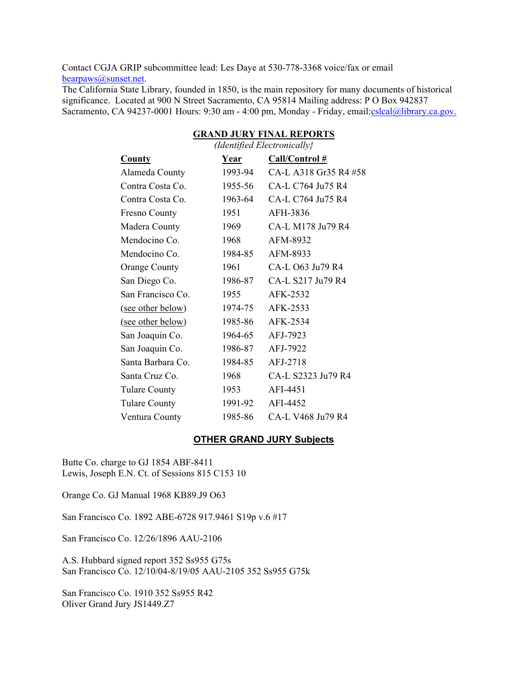Contact CGJA GRIP subcommittee lead: Les Daye at 530-778-3368 voice/fax or email bearpaws@sunset.net.

The California State Library, founded in 1850, is the main repository for many documents of historical significance. Located at 900 N Street Sacramento, CA 95814 Mailing address: P O Box 942837 Sacramento, CA 94237-0001 Hours: 9:30 am - 4:00 pm, Monday - Friday, email:*cslcal@library.ca.gov.* 

| $\mu$ uentinea Electronicativ $\chi$ |         |                       |
|--------------------------------------|---------|-----------------------|
| County                               | Year    | Call/Control #        |
| Alameda County                       | 1993-94 | CA-L A318 Gr35 R4 #58 |
| Contra Costa Co.                     | 1955-56 | CA-L C764 Ju75 R4     |
| Contra Costa Co.                     | 1963-64 | CA-L C764 Ju75 R4     |
| <b>Fresno County</b>                 | 1951    | AFH-3836              |
| Madera County                        | 1969    | CA-L M178 Ju79 R4     |
| Mendocino Co.                        | 1968    | AFM-8932              |
| Mendocino Co.                        | 1984-85 | AFM-8933              |
| Orange County                        | 1961    | CA-L O63 Ju79 R4      |
| San Diego Co.                        | 1986-87 | CA-L S217 Ju79 R4     |
| San Francisco Co.                    | 1955    | AFK-2532              |
| (see other below)                    | 1974-75 | AFK-2533              |
| (see other below)                    | 1985-86 | AFK-2534              |
| San Joaquin Co.                      | 1964-65 | AFJ-7923              |
| San Joaquin Co.                      | 1986-87 | AFJ-7922              |
| Santa Barbara Co.                    | 1984-85 | AFJ-2718              |
| Santa Cruz Co.                       | 1968    | CA-L S2323 Ju79 R4    |
| <b>Tulare County</b>                 | 1953    | AFI-4451              |
| <b>Tulare County</b>                 | 1991-92 | AFI-4452              |
| Ventura County                       | 1985-86 | CA-L V468 Ju79 R4     |

#### **GRAND JURY FINAL REPORTS**  *(Identified Electronically}*

#### **OTHER GRAND JURY Subjects**

Butte Co. charge to GJ 1854 ABF-8411 Lewis, Joseph E.N. Ct. of Sessions 815 C153 10

Orange Co. GJ Manual 1968 KB89.J9 O63

San Francisco Co. 1892 ABE-6728 917.9461 S19p v.6 #17

San Francisco Co. 12/26/1896 AAU-2106

A.S. Hubbard signed report 352 Ss955 G75s San Francisco Co. 12/10/04-8/19/05 AAU-2105 352 Ss955 G75k

San Francisco Co. 1910 352 Ss955 R42 Oliver Grand Jury JS1449.Z7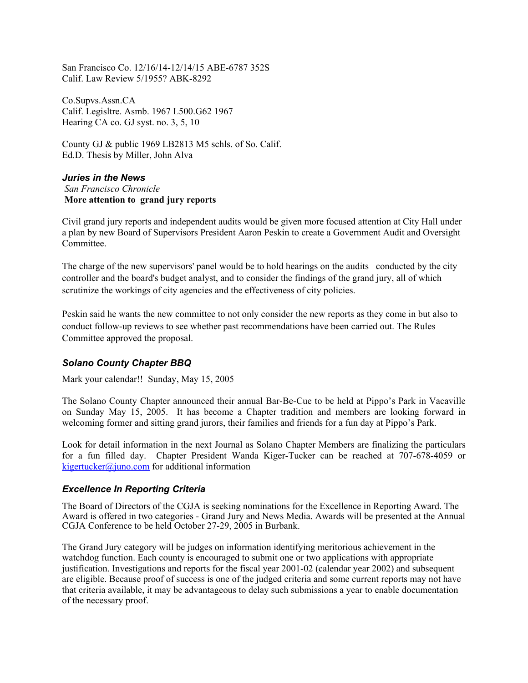<span id="page-5-0"></span>San Francisco Co. 12/16/14-12/14/15 ABE-6787 352S Calif. Law Review 5/1955? ABK-8292

Co.Supvs.Assn.CA Calif. Legisltre. Asmb. 1967 L500.G62 1967 Hearing CA co. GJ syst. no. 3, 5, 10

County GJ & public 1969 LB2813 M5 schls. of So. Calif. Ed.D. Thesis by Miller, John Alva

#### *Juries in the News San Francisco Chronicle*  **More attention to grand jury reports**

Civil grand jury reports and independent audits would be given more focused attention at City Hall under a plan by new Board of Supervisors President Aaron Peskin to create a Government Audit and Oversight Committee.

The charge of the new supervisors' panel would be to hold hearings on the audits conducted by the city controller and the board's budget analyst, and to consider the findings of the grand jury, all of which scrutinize the workings of city agencies and the effectiveness of city policies.

Peskin said he wants the new committee to not only consider the new reports as they come in but also to conduct follow-up reviews to see whether past recommendations have been carried out. The Rules Committee approved the proposal.

# *Solano County Chapter BBQ*

Mark your calendar!! Sunday, May 15, 2005

The Solano County Chapter announced their annual Bar-Be-Cue to be held at Pippo's Park in Vacaville on Sunday May 15, 2005. It has become a Chapter tradition and members are looking forward in welcoming former and sitting grand jurors, their families and friends for a fun day at Pippo's Park.

Look for detail information in the next Journal as Solano Chapter Members are finalizing the particulars for a fun filled day. Chapter President Wanda Kiger-Tucker can be reached at 707-678-4059 or kigertucker@juno.com for additional information

# *Excellence In Reporting Criteria*

The Board of Directors of the CGJA is seeking nominations for the Excellence in Reporting Award. The Award is offered in two categories - Grand Jury and News Media. Awards will be presented at the Annual CGJA Conference to be held October 27-29, 2005 in Burbank.

The Grand Jury category will be judges on information identifying meritorious achievement in the watchdog function. Each county is encouraged to submit one or two applications with appropriate justification. Investigations and reports for the fiscal year 2001-02 (calendar year 2002) and subsequent are eligible. Because proof of success is one of the judged criteria and some current reports may not have that criteria available, it may be advantageous to delay such submissions a year to enable documentation of the necessary proof.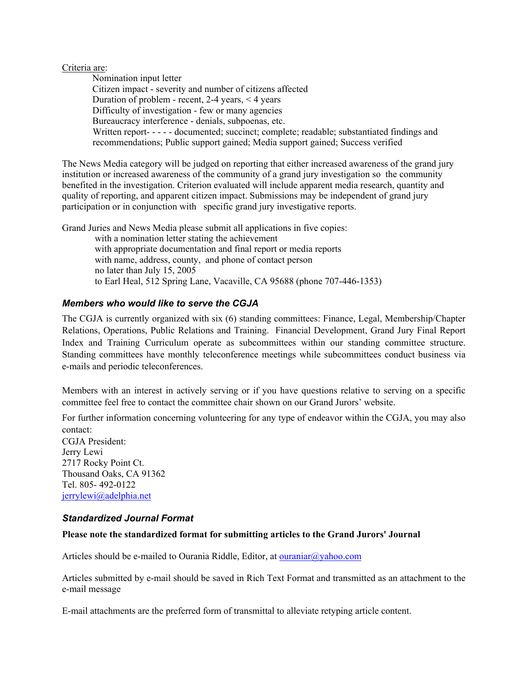#### <span id="page-6-0"></span>Criteria are:

Nomination input letter Citizen impact - severity and number of citizens affected Duration of problem - recent, 2-4 years, < 4 years Difficulty of investigation - few or many agencies Bureaucracy interference - denials, subpoenas, etc. Written report- - - - - documented; succinct; complete; readable; substantiated findings and recommendations; Public support gained; Media support gained; Success verified

The News Media category will be judged on reporting that either increased awareness of the grand jury institution or increased awareness of the community of a grand jury investigation so the community benefited in the investigation. Criterion evaluated will include apparent media research, quantity and quality of reporting, and apparent citizen impact. Submissions may be independent of grand jury participation or in conjunction with specific grand jury investigative reports.

Grand Juries and News Media please submit all applications in five copies: with a nomination letter stating the achievement with appropriate documentation and final report or media reports with name, address, county, and phone of contact person no later than July 15, 2005 to Earl Heal, 512 Spring Lane, Vacaville, CA 95688 (phone 707-446-1353)

# *Members who would like to serve the CGJA*

The CGJA is currently organized with six (6) standing committees: Finance, Legal, Membership/Chapter Relations, Operations, Public Relations and Training. Financial Development, Grand Jury Final Report Index and Training Curriculum operate as subcommittees within our standing committee structure. Standing committees have monthly teleconference meetings while subcommittees conduct business via e-mails and periodic teleconferences.

Members with an interest in actively serving or if you have questions relative to serving on a specific committee feel free to contact the committee chair shown on our Grand Jurors' website.

For further information concerning volunteering for any type of endeavor within the CGJA, you may also contact:

CGJA President: Jerry Lewi 2717 Rocky Point Ct. Thousand Oaks, CA 91362 Tel. 805- 492-0122 jerrylewi@adelphia.net

# *Standardized Journal Format*

# **Please note the standardized format for submitting articles to the Grand Jurors' Journal**

Articles should be e-mailed to Ourania Riddle, Editor, at  $\alpha$  puraniar $\alpha$  yahoo.com

Articles submitted by e-mail should be saved in Rich Text Format and transmitted as an attachment to the e-mail message

E-mail attachments are the preferred form of transmittal to alleviate retyping article content.